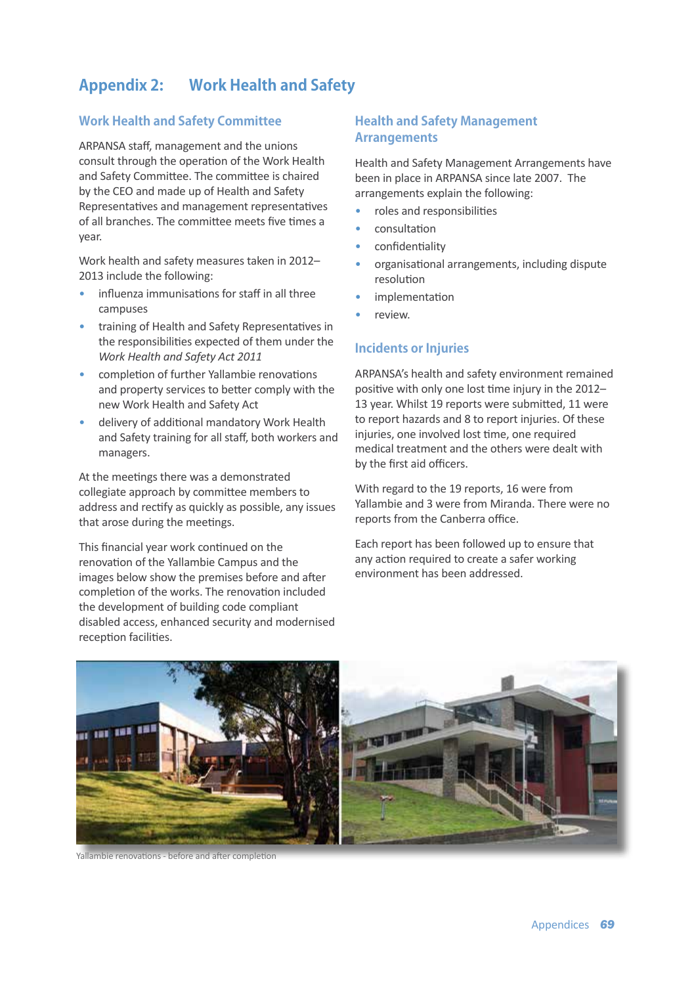# **Appendix 2: Work Health and Safety**

## **Work Health and Safety Committee**

ARPANSA staff, management and the unions consult through the operation of the Work Health and Safety Committee. The committee is chaired by the CEO and made up of Health and Safety Representatives and management representatives of all branches. The committee meets five times a year.

Work health and safety measures taken in 2012– 2013 include the following:

- influenza immunisations for staff in all three campuses
- training of Health and Safety Representatives in the responsibilities expected of them under the *Work Health and Safety Act 2011*
- completion of further Yallambie renovations and property services to better comply with the new Work Health and Safety Act
- delivery of additional mandatory Work Health and Safety training for all staff, both workers and managers.

At the meetings there was a demonstrated collegiate approach by committee members to address and rectify as quickly as possible, any issues that arose during the meetings.

This financial year work continued on the renovation of the Yallambie Campus and the images below show the premises before and after completion of the works. The renovation included the development of building code compliant disabled access, enhanced security and modernised reception facilities.

### **Health and Safety Management Arrangements**

Health and Safety Management Arrangements have been in place in ARPANSA since late 2007. The arrangements explain the following:

- roles and responsibilities
- consultation
- confidentiality
- organisational arrangements, including dispute resolution
- *implementation*
- review.

#### **Incidents or Injuries**

ARPANSA's health and safety environment remained positive with only one lost time injury in the 2012– 13 year. Whilst 19 reports were submitted, 11 were to report hazards and 8 to report injuries. Of these injuries, one involved lost time, one required medical treatment and the others were dealt with by the first aid officers.

With regard to the 19 reports, 16 were from Yallambie and 3 were from Miranda. There were no reports from the Canberra office.

Each report has been followed up to ensure that any action required to create a safer working environment has been addressed.



Yallambie renovations - before and after completion